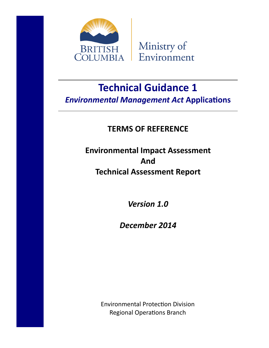



# **Technical Guidance 1** *Environmental Management Act* **Applications**

## **TERMS OF REFERENCE**

## **Environmental Impact Assessment And Technical Assessment Report**

*Version 1.0*

*December 2014*

Environmental Protection Division Regional Operations Branch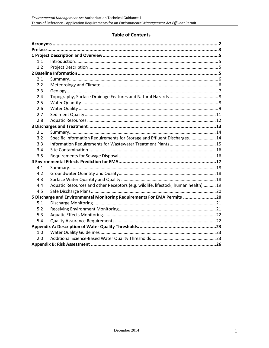## **Table of Contents**

| 1.1                                                                      |                                                                                   |  |
|--------------------------------------------------------------------------|-----------------------------------------------------------------------------------|--|
| 1.2                                                                      |                                                                                   |  |
|                                                                          |                                                                                   |  |
| 2.1                                                                      |                                                                                   |  |
| 2.2                                                                      |                                                                                   |  |
| 2.3                                                                      |                                                                                   |  |
| 2.4                                                                      |                                                                                   |  |
| 2.5                                                                      |                                                                                   |  |
| 2.6                                                                      |                                                                                   |  |
| 2.7                                                                      |                                                                                   |  |
| 2.8                                                                      |                                                                                   |  |
|                                                                          |                                                                                   |  |
| 3.1                                                                      |                                                                                   |  |
| 3.2                                                                      | Specific Information Requirements for Storage and Effluent Discharges 14          |  |
| 3.3                                                                      |                                                                                   |  |
| 3.4                                                                      |                                                                                   |  |
| 3.5                                                                      |                                                                                   |  |
|                                                                          |                                                                                   |  |
| 4.1                                                                      |                                                                                   |  |
| 4.2                                                                      |                                                                                   |  |
| 4.3                                                                      |                                                                                   |  |
| 4.4                                                                      | Aquatic Resources and other Receptors (e.g. wildlife, lifestock, human health) 19 |  |
| 4.5                                                                      |                                                                                   |  |
| 5 Discharge and Environmental Monitoring Requirements For EMA Permits 20 |                                                                                   |  |
| 5.1                                                                      |                                                                                   |  |
| 5.2                                                                      |                                                                                   |  |
| 5.3                                                                      |                                                                                   |  |
| 5.4                                                                      |                                                                                   |  |
|                                                                          |                                                                                   |  |
| 1.0                                                                      |                                                                                   |  |
| 2.0                                                                      |                                                                                   |  |
|                                                                          |                                                                                   |  |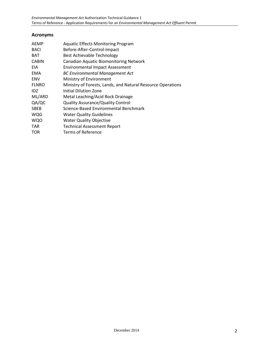## **Acronyms**

| AEMP         | <b>Aquatic Effects Monitoring Program</b>                   |
|--------------|-------------------------------------------------------------|
| <b>BACI</b>  | Before-After-Control-Impact                                 |
| BAT          | Best Achievable Technology                                  |
| <b>CABIN</b> | <b>Canadian Aquatic Biomonitoring Network</b>               |
| EIA.         | <b>Environmental Impact Assessment</b>                      |
| EMA          | <b>BC Environmental Management Act</b>                      |
| <b>ENV</b>   | Ministry of Environment                                     |
| <b>FLNRO</b> | Ministry of Forests, Lands, and Natural Resource Operations |
| IDZ.         | Initial Dilution Zone                                       |
| ML/ARD       | Metal Leaching/Acid Rock Drainage                           |
| QA/QC        | <b>Quality Assurance/Quality Control</b>                    |
| <b>SBEB</b>  | Science-Based Environmental Benchmark                       |
| <b>WQG</b>   | <b>Water Quality Guidelines</b>                             |
| <b>WQO</b>   | <b>Water Quality Objective</b>                              |
| TAR          | <b>Technical Assessment Report</b>                          |
| TOR          | Terms of Reference                                          |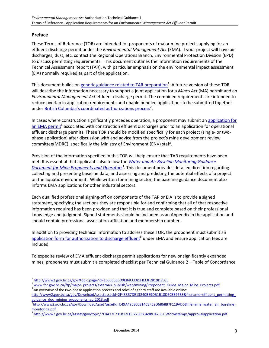## **Preface**

These Terms of Reference (TOR) are intended for proponents of major mine projects applying for an effluent discharge permit under the *Environmental Management Act* (EMA). If your project will have air discharges, dust, etc. contact the Regional Operations Branch, Environmental Protection Division (EPD) to discuss permitting requirements. This document outlines the information requirements of the Technical Assessment Report (TAR), with particular emphasis on the environmental impact assessment (EIA) normally required as part of the application.

This document builds on [generic guidance related to TAR preparation](http://www2.gov.bc.ca/gov/topic.page?id=1653E566D9E84CCE81FB33F2819D350E)<sup>1</sup>. A future version of these TOR will describe the information necessary to support a joint application for a *Mines Act* (MA) permit and an *Environmental Management Act* effluent discharge permit. The combined requirements are intended to reduce overlap in application requirements and enable bundled applications to be submitted together under **[British Columbia's coordinated authorizations process](http://www.for.gov.bc.ca/ftp/major_projects/external/!publish/web/mining/Proponent_Guide_Major_Mine_Projects.pdf)<sup>2</sup>.** 

In cases where construction significantly precedes operation, a proponent may submit an application for [an EMA permit](http://www2.gov.bc.ca/gov/topic.page?id=1653E566D9E84CCE81FB33F2819D350E)<sup>3</sup> associated with construction effluent discharges prior to an application for operational effluent discharge permits. These TOR should be modified specifically for each project (single- or twophase application) after discussion with and advice from the project's mine development review committee(MDRC), specifically the Ministry of Environment (ENV) staff.

Provision of the information specified in this TOR will help ensure that TAR requirements have been met. It is essential that applicants also follow the *[Water and Air Baseline Monitoring Guidance](http://www2.gov.bc.ca/gov/DownloadAsset?assetId=E49A49E800814C8FB2D6868B7F119AD6&filename=water_air_baseline_monitoring.pdf)*  **[Document for Mine Proponents and Operators](http://www2.gov.bc.ca/gov/DownloadAsset?assetId=E49A49E800814C8FB2D6868B7F119AD6&filename=water_air_baseline_monitoring.pdf)**<sup>4</sup>. This document provides detailed direction regarding collecting and presenting baseline data, and assessing and predicting the potential effects of a project on the aquatic environment. While written for mining sector, the baseline guidance document also informs EMA applications for other industrial sectors.

Each qualified professional signing-off on components of the TAR or EIA is to provide a signed statement, specifying the sections they are responsible for and confirming that all of that respective information required has been provided and that it is true and complete based on their professional knowledge and judgment. Signed statements should be included as an Appendix in the application and should contain professional association affiliation and membership number.

In addition to providing technical information to address these TOR, the proponent must submit an [application form for authorization to discharge effluent](http://www2.gov.bc.ca/assets/gov/topic/7FBA17F731B12ED37709B3A9BD473516/formstemps/approvalapplication.pdf)<sup>5</sup> under EMA and ensure application fees are included.

To expedite review of EMA effluent discharge permit applications for new or significantly expanded mines, proponents must submit a completed checklist per Technical Guidance 2 – Table of Concordance

- <sup>2</sup> [www.for.gov.bc.ca/ftp/major\\_projects/external/!publish/web/mining/Proponent\\_Guide\\_Major\\_Mine\\_Projects.pdf](http://www.for.gov.bc.ca/ftp/major_projects/external/!publish/web/mining/Proponent_Guide_Major_Mine_Projects.pdf)
- $3$  An overview of the two-phase application process and roles of agency staff are available online: http://www2.gov.bc.ca/gov/DownloadAsset?assetId=2F43387DE13240BE9DB1B18D5CEE96B3&filename=effluent\_permitting [guidance\\_doc\\_mining\\_proponents\\_apr2013.pdf](http://www2.gov.bc.ca/gov/DownloadAsset?assetId=2F43387DE13240BE9DB1B18D5CEE96B3&filename=effluent_permitting_guidance_doc_mining_proponents_apr2013.pdf)

l 1 <http://www2.gov.bc.ca/gov/topic.page?id=1653E566D9E84CCE81FB33F2819D350E>

a<br>[http://www2.gov.bc.ca/gov/DownloadAsset?assetId=E49A49E800814C8FB2D6868B7F119AD6&filename=water\\_air\\_baseline\\_](http://www2.gov.bc.ca/gov/DownloadAsset?assetId=E49A49E800814C8FB2D6868B7F119AD6&filename=water_air_baseline_monitoring.pdf) [monitoring.pdf](http://www2.gov.bc.ca/gov/DownloadAsset?assetId=E49A49E800814C8FB2D6868B7F119AD6&filename=water_air_baseline_monitoring.pdf)

<sup>&</sup>lt;sup>5</sup> <http://www2.gov.bc.ca/assets/gov/topic/7FBA17F731B12ED37709B3A9BD473516/formstemps/approvalapplication.pdf>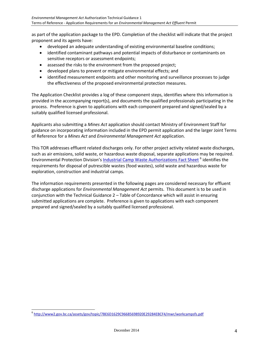as part of the application package to the EPD. Completion of the checklist will indicate that the project proponent and its agents have:

- developed an adequate understanding of existing environmental baseline conditions;
- identified contaminant pathways and potential impacts of disturbance or contaminants on sensitive receptors or assessment endpoints;
- assessed the risks to the environment from the proposed project;
- developed plans to prevent or mitigate environmental effects; and
- identified measurement endpoints and other monitoring and surveillance processes to judge the effectiveness of the proposed environmental protection measures.

The Application Checklist provides a log of these component steps, identifies where this information is provided in the accompanying report(s), and documents the qualified professionals participating in the process. Preference is given to applications with each component prepared and signed/sealed by a suitably qualified licensed professional.

Applicants also submitting a *Mines Act* application should contact Ministry of Environment Staff for guidance on incorporating information included in the EPD permit application and the larger Joint Terms of Reference for a *Mines Act* and *Environmental Management Act* application.

This TOR addresses effluent related discharges only. For other project activity related waste discharges, such as air emissions, solid waste, or hazardous waste disposal, separate applications may be required. Environmental Protection Division's *[Industrial Camp Waste Authorizations Fact Sheet](http://www2.gov.bc.ca/assets/gov/topic/7BE6D1629C96685698920E29284EBCF4/mwr/workcampsfs.pdf)* <sup>6</sup> identifies the requirements for disposal of putrescible wastes (food wastes), solid waste and hazardous waste for exploration, construction and industrial camps.

The information requirements presented in the following pages are considered necessary for effluent discharge applications for *Environmental Management Act* permits. This document is to be used in conjunction with the Technical Guidance 2 – Table of Concordance which will assist in ensuring submitted applications are complete. Preference is given to applications with each component prepared and signed/sealed by a suitably qualified licensed professional.

<sup>&</sup>lt;sup>6</sup> <http://www2.gov.bc.ca/assets/gov/topic/7BE6D1629C96685698920E29284EBCF4/mwr/workcampsfs.pdf>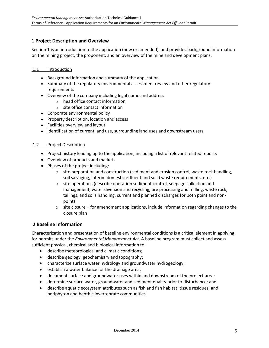## **1 Project Description and Overview**

Section 1 is an introduction to the application (new or amended), and provides background information on the mining project, the proponent, and an overview of the mine and development plans.

#### 1.1 Introduction

- Background information and summary of the application
- Summary of the regulatory environmental assessment review and other regulatory requirements
- Overview of the company including legal name and address
	- o head office contact information
	- o site office contact information
- Corporate environmental policy
- Property description, location and access
- Facilities overview and layout
- Identification of current land use, surrounding land uses and downstream users

#### 1.2 Project Description

- Project history leading up to the application, including a list of relevant related reports
- Overview of products and markets
- Phases of the project including:
	- $\circ$  site preparation and construction (sediment and erosion control, waste rock handling, soil salvaging, interim domestic effluent and solid waste requirements, etc.)
	- o site operations (describe operation sediment control, seepage collection and management, water diversion and recycling, ore processing and milling, waste rock, tailings, and soils handling, current and planned discharges for both point and nonpoint)
	- $\circ$  site closure for amendment applications, include information regarding changes to the closure plan

#### **2 Baseline Information**

Characterization and presentation of baseline environmental conditions is a critical element in applying for permits under the *Environmental Management Act*. A baseline program must collect and assess sufficient physical, chemical and biological information to:

- describe meteorological and climatic conditions;
- describe geology, geochemistry and topography;
- characterize surface water hydrology and groundwater hydrogeology;
- $\bullet$  establish a water balance for the drainage area;
- document surface and groundwater uses within and downstream of the project area;
- determine surface water, groundwater and sediment quality prior to disturbance; and
- describe aquatic ecosystem attributes such as fish and fish habitat, tissue residues, and periphyton and benthic invertebrate communities.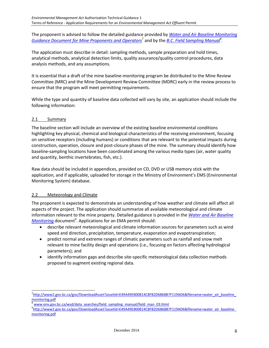The proponent is advised to follow the detailed guidance provided by *[Water and Air Baseline Monitoring](http://www2.gov.bc.ca/gov/DownloadAsset?assetId=E49A49E800814C8FB2D6868B7F119AD6&filename=water_air_baseline_monitoring.pdf)*  [Guidance Document for Mine Proponents and Operators](http://www2.gov.bc.ca/gov/DownloadAsset?assetId=E49A49E800814C8FB2D6868B7F119AD6&filename=water_air_baseline_monitoring.pdf)<sup>7</sup> and by the <u>[B.C. Field Sampling Manual](http://www.env.gov.bc.ca/wsd/data_searches/field_sampling_manual/field_man_03.html)</u><sup>8</sup>.

The application must describe in detail: sampling methods, sample preparation and hold times, analytical methods, analytical detection limits, quality assurance/quality control procedures, data analysis methods, and any assumptions.

It is essential that a draft of the mine baseline-monitoring program be distributed to the Mine Review Committee (MRC) and the Mine Development Review Committee (MDRC) early in the review process to ensure that the program will meet permitting requirements.

While the type and quantity of baseline data collected will vary by site, an application should include the following information:

## 2.1 Summary

l

The baseline section will include an overview of the existing baseline environmental conditions highlighting key physical, chemical and biological characteristics of the receiving environment, focusing on sensitive receptors (including humans) or conditions that are relevant to the potential impacts during construction, operation, closure and post-closure phases of the mine. The summary should identify how baseline-sampling locations have been coordinated among the various media types (air, water quality and quantity, benthic invertebrates, fish, etc.).

Raw data should be included in appendices, provided on CD, DVD or USB memory stick with the application, and if applicable, uploaded for storage in the Ministry of Environment's EMS (Environmental Monitoring System) database.

#### 2.2 Meteorology and Climate

The proponent is expected to demonstrate an understanding of how weather and climate will affect all aspects of the project. The application should summarize all available meteorological and climate information relevant to the mine property. Detailed guidance is provided in the *[Water and Air Baseline](http://www2.gov.bc.ca/gov/DownloadAsset?assetId=E49A49E800814C8FB2D6868B7F119AD6&filename=water_air_baseline_monitoring.pdf)*  [Monitoring](http://www2.gov.bc.ca/gov/DownloadAsset?assetId=E49A49E800814C8FB2D6868B7F119AD6&filename=water_air_baseline_monitoring.pdf) document<sup>9</sup>. Applications for an EMA permit should:

- describe relevant meteorological and climate information sources for parameters such as wind speed and direction, precipitation, temperature, evaporation and evapotranspiration;
- predict normal and extreme ranges of climatic parameters such as rainfall and snow melt relevant to mine facility design and operations (i.e., focusing on factors affecting hydrological parameters); and
- identify information gaps and describe site-specific meteorological data collection methods proposed to augment existing regional data.

[www.env.gov.bc.ca/wsd/data\\_searches/field\\_sampling\\_manual/field\\_man\\_03.html](http://www.env.gov.bc.ca/wsd/data_searches/field_sampling_manual/field_man_03.html)

<sup>&</sup>lt;sup>7</sup>[http://www2.gov.bc.ca/gov/DownloadAsset?assetId=E49A49E800814C8FB2D6868B7F119AD6&filename=water\\_air\\_baseline\\_](http://www2.gov.bc.ca/gov/DownloadAsset?assetId=E49A49E800814C8FB2D6868B7F119AD6&filename=water_air_baseline_monitoring.pdf) [monitoring.pdf](http://www2.gov.bc.ca/gov/DownloadAsset?assetId=E49A49E800814C8FB2D6868B7F119AD6&filename=water_air_baseline_monitoring.pdf)

<sup>9&</sup>lt;br>[http://www2.gov.bc.ca/gov/DownloadAsset?assetId=E49A49E800814C8FB2D6868B7F119AD6&filename=water\\_air\\_baseline\\_](http://www2.gov.bc.ca/gov/DownloadAsset?assetId=E49A49E800814C8FB2D6868B7F119AD6&filename=water_air_baseline_monitoring.pdf) [monitoring.pdf](http://www2.gov.bc.ca/gov/DownloadAsset?assetId=E49A49E800814C8FB2D6868B7F119AD6&filename=water_air_baseline_monitoring.pdf)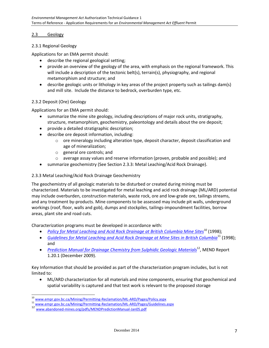#### 2.3 Geology

## 2.3.1 Regional Geology

Applications for an EMA permit should:

- describe the regional geological setting;
- provide an overview of the geology of the area, with emphasis on the regional framework. This will include a description of the tectonic belt(s), terrain(s), physiography, and regional metamorphism and structure; and
- describe geologic units or lithology in key areas of the project property such as tailings dam(s) and mill site. Include the distance to bedrock, overburden type, etc.

## 2.3.2 Deposit (Ore) Geology

Applications for an EMA permit should:

- summarize the mine site geology, including descriptions of major rock units, stratigraphy, structure, metamorphism, geochemistry, paleontology and details about the ore deposit;
- provide a detailed stratigraphic description;
- describe ore deposit information, including:
	- $\circ$  ore mineralogy including alteration type, deposit character, deposit classification and age of mineralization;
	- o general ore controls; and
	- $\circ$  average assay values and reserve information (proven, probable and possible); and
- summarize geochemistry (See Section 2.3.3: Metal Leaching/Acid Rock Drainage).

## 2.3.3 Metal Leaching/Acid Rock Drainage Geochemistry

The geochemistry of all geologic materials to be disturbed or created during mining must be characterized. Materials to be investigated for metal leaching and acid rock drainage (ML/ARD) potential may include overburden, construction materials, waste rock, ore and low-grade ore, tailings streams, and any treatment by-products. Mine components to be assessed may include pit walls, underground workings (roof, floor, walls and gob), dumps and stockpiles, tailings-impoundment facilities, borrow areas, plant site and road cuts.

Characterization programs must be developed in accordance with:

- *[Policy for Metal Leaching and Acid Rock Drainage at British Columbia Mine Sites](http://www.empr.gov.bc.ca/Mining/Permitting-Reclamation/ML-ARD/Pages/Policy.aspx)*<sup>10</sup> (1998);
- *[Guidelines for Metal Leaching and Acid Rock Drainage at Mine Sites in British Columbia](http://www.empr.gov.bc.ca/Mining/Permitting-Reclamation/ML-ARD/Pages/Guidelines.aspx)*<sup>11</sup> (1998); and
- **•** *<u>Prediction [Manual for Drainage Chemistry from Sulphidic Geologic Materials](http://www.abandoned-mines.org/pdfs/MENDPredictionManual-Jan05.pdf)<sup>12</sup>, MEND Report*</u> 1.20.1 (December 2009).

Key Information that should be provided as part of the characterization program includes, but is not limited to:

 ML/ARD characterization for all materials and mine components, ensuring that geochemical and spatial variability is captured and that test work is relevant to the proposed storage

<sup>10</sup> [www.empr.gov.bc.ca/Mining/Permitting-Reclamation/ML-ARD/Pages/Policy.aspx](http://www.empr.gov.bc.ca/Mining/Permitting-Reclamation/ML-ARD/Pages/Policy.aspx)

[www.empr.gov.bc.ca/Mining/Permitting-Reclamation/ML-ARD/Pages/Guidelines.aspx](http://www.empr.gov.bc.ca/Mining/Permitting-Reclamation/ML-ARD/Pages/Guidelines.aspx)

<sup>12</sup> [www.abandoned-mines.org/pdfs/MENDPredictionManual-Jan05.pdf](http://www.abandoned-mines.org/pdfs/MENDPredictionManual-Jan05.pdf)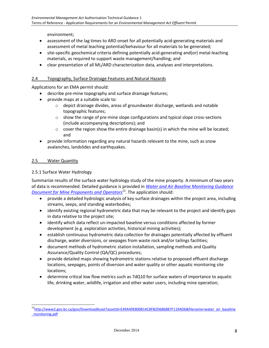environment;

- assessment of the lag times to ARD onset for all potentially acid-generating materials and assessment of metal leaching potential/behaviour for all materials to be generated;
- site-specific geochemical criteria defining potentially acid-generating and(or) metal-leaching materials, as required to support waste management/handling; and
- clear presentation of all ML/ARD characterization data, analyses and interpretations.

## 2.4 Topography, Surface Drainage Features and Natural Hazards

Applications for an EMA permit should:

- describe pre-mine topography and surface drainage features;
- provide maps at a suitable scale to:
	- $\circ$  depict drainage divides, areas of groundwater discharge, wetlands and notable topographic features;
	- $\circ$  show the range of pre-mine slope configurations and typical slope cross-sections (include accompanying descriptions); and
	- $\circ$  cover the region show the entire drainage basin(s) in which the mine will be located; and
- provide information regarding any natural hazards relevant to the mine, such as snow avalanches, landslides and earthquakes.

#### 2.5 Water Quantity

l

## 2.5.1 Surface Water Hydrology

Summarize results of the surface water hydrology study of the mine property. A minimum of two years of data is recommended. Detailed guidance is provided in *[Water and Air Baseline Monitoring Guidance](http://www2.gov.bc.ca/gov/DownloadAsset?assetId=E49A49E800814C8FB2D6868B7F119AD6&filename=water_air_baseline_monitoring.pdf)  [Document for Mine Proponents and Operators](http://www2.gov.bc.ca/gov/DownloadAsset?assetId=E49A49E800814C8FB2D6868B7F119AD6&filename=water_air_baseline_monitoring.pdf)*<sup>13</sup>. The application should:

- provide a detailed hydrologic analysis of key surface drainages within the project area, including streams, seeps, and standing waterbodies;
- identify existing regional hydrometric data that may be relevant to the project and identify gaps in data relative to the project site;
- identify which data reflect un-impacted baseline versus conditions affected by former development (e.g. exploration activities, historical mining activities);
- establish continuous hydrometric data collection for drainages potentially affected by effluent discharge, water diversions, or seepages from waste rock and/or tailings facilities;
- document methods of hydrometric station installation, sampling methods and Quality Assurance/Quality Control (QA/QC) procedures;
- provide detailed maps showing hydrometric stations relative to proposed effluent discharge locations, seepages, points of diversion and water quality or other aquatic monitoring site locations;
- determine critical low flow metrics such as 7dQ10 for surface waters of importance to aquatic life, drinking water, wildlife, irrigation and other water users, including mine operation;

<sup>&</sup>lt;sup>13</sup>[http://www2.gov.bc.ca/gov/DownloadAsset?assetId=E49A49E800814C8FB2D6868B7F119AD6&filename=water\\_air\\_baseline](http://www2.gov.bc.ca/gov/DownloadAsset?assetId=E49A49E800814C8FB2D6868B7F119AD6&filename=water_air_baseline_monitoring.pdf) [\\_monitoring.pdf](http://www2.gov.bc.ca/gov/DownloadAsset?assetId=E49A49E800814C8FB2D6868B7F119AD6&filename=water_air_baseline_monitoring.pdf)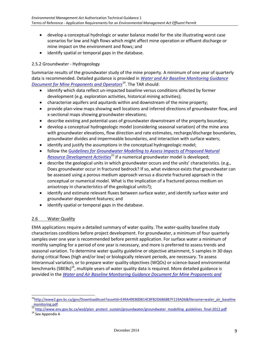- develop a conceptual hydrologic or water balance model for the site illustrating worst case scenarios for low and high flows which might affect mine operation or effluent discharge or mine impact on the environment and flows; and
- identify spatial or temporal gaps in the database.

## 2.5.2 Groundwater - Hydrogeology

Summarize results of the groundwater study of the mine property. A minimum of one year of quarterly data is recommended. Detailed guidance is provided in *[Water and Air Baseline Monitoring Guidance](http://www2.gov.bc.ca/gov/DownloadAsset?assetId=E49A49E800814C8FB2D6868B7F119AD6&filename=water_air_baseline_monitoring.pdf)  [Document for Mine Proponents and Operators](http://www2.gov.bc.ca/gov/DownloadAsset?assetId=E49A49E800814C8FB2D6868B7F119AD6&filename=water_air_baseline_monitoring.pdf)*<sup>14</sup>. The TAR should:

- identify which data reflect un-impacted baseline versus conditions affected by former development (e.g. exploration activities, historical mining activities);
- characterize aquifers and aquitards within and downstream of the mine property;
- provide plan-view maps showing well locations and inferred directions of groundwater flow, and x-sectional maps showing groundwater elevations;
- describe existing and potential uses of groundwater downstream of the property boundary;
- develop a conceptual hydrogeologic model (considering seasonal variation) of the mine area with groundwater elevations, flow direction and rate estimates, recharge/discharge boundaries, groundwater divides and impermeable boundaries, and interaction with surface waters;
- identify and justify the assumptions in the conceptual hydrogeologic model;
- follow the Guid*[elines for Groundwater Modelling to Assess Impacts of Proposed Natural](http://www.env.gov.bc.ca/wsd/plan_protect_sustain/groundwater/groundwater_modelling_guidelines_final-2012.pdf)  [Resource Development Activities](http://www.env.gov.bc.ca/wsd/plan_protect_sustain/groundwater/groundwater_modelling_guidelines_final-2012.pdf)*<sup>15</sup> if a numerical groundwater model is developed;
- describe the geological units in which groundwater occurs and the units' characteristics. (e.g., Does groundwater occur in fractured bedrock? If so, what evidence exists that groundwater can be assessed using a porous medium approach versus a discrete fractured approach in the conceptual or numerical model. What is the implication of a fractured porous medium on anisotropy in characteristics of the geological units?);
- identify and estimate relevant fluxes between surface water, and identify surface water and groundwater dependent features; and
- identify spatial or temporal gaps in the database.

## 2.6 Water Quality

EMA applications require a detailed summary of water quality. The water-quality baseline study characterizes conditions before project development. For groundwater, a minimum of four quarterly samples over one year is recommended before permit application. For surface water a minimum of monthly sampling for a period of one year is necessary, and more is preferred to assess trends and seasonal variation. To determine water quality guideline or objective attainment, 5 samples in 30 days during critical flows (high and/or low) or biologically relevant periods, are necessary. To assess interannual variation, or to prepare water quality objectives (WQOs) or science-based environmental benchmarks (SBEBs)<sup>16</sup>, multiple years of water quality data is required. More detailed guidance is provided in the *[Water and Air Baseline Monitoring Guidance Document for Mine Proponents and](http://www2.gov.bc.ca/gov/DownloadAsset?assetId=E49A49E800814C8FB2D6868B7F119AD6&filename=water_air_baseline_monitoring.pdf)* 

<sup>&</sup>lt;sup>14</sup>[http://www2.gov.bc.ca/gov/DownloadAsset?assetId=E49A49E800814C8FB2D6868B7F119AD6&filename=water\\_air\\_baseline](http://www2.gov.bc.ca/gov/DownloadAsset?assetId=E49A49E800814C8FB2D6868B7F119AD6&filename=water_air_baseline_monitoring.pdf) [\\_monitoring.pdf](http://www2.gov.bc.ca/gov/DownloadAsset?assetId=E49A49E800814C8FB2D6868B7F119AD6&filename=water_air_baseline_monitoring.pdf)

<sup>15</sup> [http://www.env.gov.bc.ca/wsd/plan\\_protect\\_sustain/groundwater/groundwater\\_modelling\\_guidelines\\_final-2012.pdf](http://www.env.gov.bc.ca/wsd/plan_protect_sustain/groundwater/groundwater_modelling_guidelines_final-2012.pdf)

 $16$  See Appendix A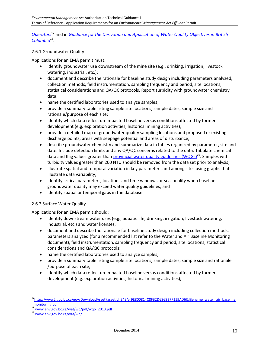*[Operators](http://www2.gov.bc.ca/gov/DownloadAsset?assetId=E49A49E800814C8FB2D6868B7F119AD6&filename=water_air_baseline_monitoring.pdf)*<sup>17</sup> and in *[Guidance for the Derivation and Application of Water Quality Objectives in British](http://www.env.gov.bc.ca/wat/wq/pdf/wqo_2013.pdf)  [Columbia](http://www.env.gov.bc.ca/wat/wq/pdf/wqo_2013.pdf)*<sup>18</sup> .

## 2.6.1 Groundwater Quality

Applications for an EMA permit must:

- identify groundwater use downstream of the mine site (e.g., drinking, irrigation, livestock watering, industrial, etc.);
- document and describe the rationale for baseline study design including parameters analyzed, collection methods, field instrumentation, sampling frequency and period, site locations, statistical considerations and QA/QC protocols. Report turbidity with groundwater chemistry data;
- name the certified laboratories used to analyze samples;
- provide a summary table listing sample site locations, sample dates, sample size and rationale/purpose of each site;
- identify which data reflect un-impacted baseline versus conditions affected by former development (e.g. exploration activities, historical mining activities);
- provide a detailed map of groundwater quality sampling locations and proposed or existing discharge points, areas with seepage potential and areas of disturbance;
- describe groundwater chemistry and summarize data in tables organized by parameter, site and date. Include detection limits and any QA/QC concerns related to the data. Tabulate chemical data and flag values greater than *provincial water quality guidelines (WQGs)*<sup>19</sup>. Samples with turbidity values greater than 200 NTU should be removed from the data set prior to analysis;
- illustrate spatial and temporal variation in key parameters and among sites using graphs that illustrate data variability;
- identify critical parameters, locations and time windows or seasonality when baseline groundwater quality may exceed water quality guidelines; and
- identify spatial or temporal gaps in the database.

#### 2.6.2 Surface Water Quality

Applications for an EMA permit should:

- identify downstream water uses (e.g., aquatic life, drinking, irrigation, livestock watering, industrial, etc.) and water licenses;
- document and describe the rationale for baseline study design including collection methods, parameters analyzed (for a recommended list refer to the Water and Air Baseline Monitoring document), field instrumentation, sampling frequency and period, site locations, statistical considerations and QA/QC protocols;
- name the certified laboratories used to analyze samples;
- provide a summary table listing sample site locations, sample dates, sample size and rationale /purpose of each site;
- identify which data reflect un-impacted baseline versus conditions affected by former development (e.g. exploration activities, historical mining activities);

<sup>&</sup>lt;sup>17</sup>[http://www2.gov.bc.ca/gov/DownloadAsset?assetId=E49A49E800814C8FB2D6868B7F119AD6&filename=water\\_air\\_baseline](http://www2.gov.bc.ca/gov/DownloadAsset?assetId=E49A49E800814C8FB2D6868B7F119AD6&filename=water_air_baseline_monitoring.pdf) [\\_monitoring.pdf](http://www2.gov.bc.ca/gov/DownloadAsset?assetId=E49A49E800814C8FB2D6868B7F119AD6&filename=water_air_baseline_monitoring.pdf)

<sup>18</sup> [www.env.gov.bc.ca/wat/wq/pdf/wqo\\_2013.pdf](http://www.env.gov.bc.ca/wat/wq/pdf/wqo_2013.pdf)

<sup>19</sup> [www.env.gov.bc.ca/wat/wq/](http://www.env.gov.bc.ca/wat/wq/)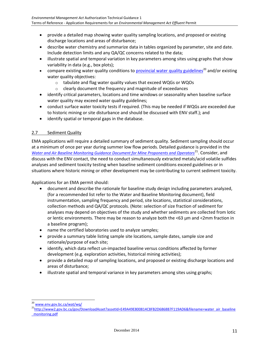- provide a detailed map showing water quality sampling locations, and proposed or existing discharge locations and areas of disturbance;
- describe water chemistry and summarize data in tables organized by parameter, site and date. Include detection limits and any QA/QC concerns related to the data;
- illustrate spatial and temporal variation in key parameters among sites using graphs that show variability in data (e.g., box plots);
- compare existing water quality conditions to **provincial water quality guidelines<sup>20</sup> and/or existing** water quality objectives:
	- o tabulate and flag water quality values that exceed WQGs or WQOs
	- o clearly document the frequency and magnitude of exceedances
- identify critical parameters, locations and time windows or seasonality when baseline surface water quality may exceed water quality guidelines;
- conduct surface water toxicity tests if required. (This may be needed if WQGs are exceeded due to historic mining or site disturbance and should be discussed with ENV staff.); and
- identify spatial or temporal gaps in the database.

## 2.7 Sediment Quality

EMA applications will require a detailed summary of sediment quality. Sediment sampling should occur at a minimum of once per year during summer low flow periods. Detailed guidance is provided in the *[Water and Air Baseline Monitoring Guidance Document for Mine Proponents and Operators](http://www2.gov.bc.ca/gov/DownloadAsset?assetId=E49A49E800814C8FB2D6868B7F119AD6&filename=water_air_baseline_monitoring.pdf)*<sup>21</sup>. Consider, and discuss with the ENV contact, the need to conduct simultaneously extracted metals/acid volatile sulfides analyses and sediment toxicity testing when baseline sediment conditions exceed guidelines or in situations where historic mining or other development may be contributing to current sediment toxicity.

Applications for an EMA permit should:

- document and describe the rationale for baseline study design including parameters analyzed, (for a recommended list refer to the Water and Baseline Monitoring document), field instrumentation, sampling frequency and period, site locations, statistical considerations, collection methods and QA/QC protocols. (Note: selection of size fraction of sediment for analyses may depend on objectives of the study and whether sediments are collected from lotic or lentic environments. There may be reason to analyze both the <63 µm and <2mm fraction in a baseline program);
- name the certified laboratories used to analyze samples;
- provide a summary table listing sample site locations, sample dates, sample size and rationale/purpose of each site;
- identify, which data reflect un-impacted baseline versus conditions affected by former development (e.g. exploration activities, historical mining activities);
- provide a detailed map of sampling locations, and proposed or existing discharge locations and areas of disturbance;
- illustrate spatial and temporal variance in key parameters among sites using graphs;

l <sup>20</sup> [www.env.gov.bc.ca/wat/wq/](http://www.env.gov.bc.ca/wat/wq/)

<sup>&</sup>lt;sup>21</sup>[http://www2.gov.bc.ca/gov/DownloadAsset?assetId=E49A49E800814C8FB2D6868B7F119AD6&filename=water\\_air\\_baseline](http://www2.gov.bc.ca/gov/DownloadAsset?assetId=E49A49E800814C8FB2D6868B7F119AD6&filename=water_air_baseline_monitoring.pdf) [\\_monitoring.pdf](http://www2.gov.bc.ca/gov/DownloadAsset?assetId=E49A49E800814C8FB2D6868B7F119AD6&filename=water_air_baseline_monitoring.pdf)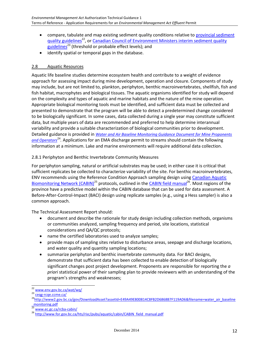- compare, tabulate and map existing sediment quality conditions relative to [provincial sediment](http://www.env.gov.bc.ca/wat/wq/)  [quality guidelines](http://www.env.gov.bc.ca/wat/wq/)<sup>22</sup>, or Canadian Council of Environment Ministers interim sediment quality [guidelines](http://ceqg-rcqe.ccme.ca/)<sup>23</sup> (threshold or probable effect levels); and
- identify spatial or temporal gaps in the database.

## 2.8 Aquatic Resources

Aquatic life baseline studies determine ecosystem health and contribute to a weight of evidence approach for assessing impact during mine development, operation and closure. Components of study may include, but are not limited to, plankton, periphyton, benthic macroinvertebrates, shellfish, fish and fish habitat, macrophytes and biological tissues. The aquatic organisms identified for study will depend on the complexity and types of aquatic and marine habitats and the nature of the mine operation. Appropriate biological monitoring tools must be identified, and sufficient data must be collected and presented to demonstrate that the program will be able to detect a predetermined change considered to be biologically significant. In some cases, data collected during a single year may constitute sufficient data, but multiple years of data are recommended and preferred to help determine interannual variability and provide a suitable characterization of biological communities prior to development. Detailed guidance is provided in *[Water and Air Baseline Monitoring Guidance Document for Mine Proponents](http://www2.gov.bc.ca/gov/DownloadAsset?assetId=E49A49E800814C8FB2D6868B7F119AD6&filename=water_air_baseline_monitoring.pdf)*  [and Operators](http://www2.gov.bc.ca/gov/DownloadAsset?assetId=E49A49E800814C8FB2D6868B7F119AD6&filename=water_air_baseline_monitoring.pdf)<sup>24</sup>. Applications for an EMA discharge permit to streams should contain the following information at a minimum. Lake and marine environments will require additional data collection.

## 2.8.1 Periphyton and Benthic Invertebrate Community Measures

For periphyton sampling, natural or artificial substrates may be used; in either case it is critical that sufficient replicates be collected to characterize variability of the site. For benthic macroinvertebrates, ENV recommends using the Reference Condition Approach sampling design using [Canadian Aquatic](http://www.ec.gc.ca/rcba-cabin/)  [Biomonitoring Network \(CABIN\)](http://www.ec.gc.ca/rcba-cabin/)<sup>25</sup> protocols, outlined in th[e CABIN field manual](http://www.for.gov.bc.ca/hts/risc/pubs/aquatic/cabin/CABIN_field_manual.pdf)<sup>26</sup>. Most regions of the province have a predictive model within the CABIN database that can be used for data assessment. A Before-After-Control-Impact (BACI) design using replicate samples (e.g., using a Hess sampler) is also a common approach.

The Technical Assessment Report should:

- document and describe the rationale for study design including collection methods, organisms or communities analyzed, sampling frequency and period, site locations, statistical considerations and QA/QC protocols;
- name the certified laboratories used to analyze samples;
- provide maps of sampling sites relative to disturbance areas, seepage and discharge locations, and water quality and quantity sampling locations;
- summarize periphyton and benthic invertebrate community data. For BACI designs, demonstrate that sufficient data has been collected to enable detection of biologically significant changes post project development. Proponents are responsible for reporting the *a priori* statistical power of their sampling plan to provide reviewers with an understanding of the program's strengths and weaknesses;

l <sup>22</sup> [www.env.gov.bc.ca/wat/wq/](http://www.env.gov.bc.ca/wat/wq/)

<sup>&</sup>lt;sup>23</sup> cegg-rcqe.ccme.ca/

<sup>&</sup>lt;sup>24</sup>[http://www2.gov.bc.ca/gov/DownloadAsset?assetId=E49A49E800814C8FB2D6868B7F119AD6&filename=water\\_air\\_baseline](http://www2.gov.bc.ca/gov/DownloadAsset?assetId=E49A49E800814C8FB2D6868B7F119AD6&filename=water_air_baseline_monitoring.pdf) [\\_monitoring.pdf](http://www2.gov.bc.ca/gov/DownloadAsset?assetId=E49A49E800814C8FB2D6868B7F119AD6&filename=water_air_baseline_monitoring.pdf)

[www.ec.gc.ca/rcba-cabin/](http://www.ec.gc.ca/rcba-cabin/)

<sup>&</sup>lt;sup>26</sup> [http://www.for.gov.bc.ca/hts/risc/pubs/aquatic/cabin/CABIN\\_field\\_manual.pdf](http://www.for.gov.bc.ca/hts/risc/pubs/aquatic/cabin/CABIN_field_manual.pdf)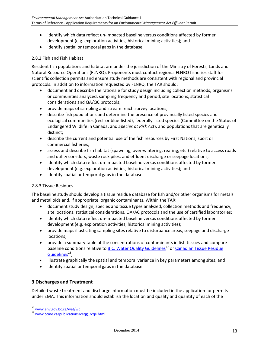- identify which data reflect un-impacted baseline versus conditions affected by former development (e.g. exploration activities, historical mining activities); and
- identify spatial or temporal gaps in the database.

## 2.8.2 Fish and Fish Habitat

Resident fish populations and habitat are under the jurisdiction of the Ministry of Forests, Lands and Natural Resource Operations (FLNRO). Proponents must contact regional FLNRO fisheries staff for scientific collection permits and ensure study methods are consistent with regional and provincial protocols. In addition to information requested by FLNRO, the TAR should:

- document and describe the rationale for study design including collection methods, organisms or communities analyzed, sampling frequency and period, site locations, statistical considerations and QA/QC protocols;
- provide maps of sampling and stream reach survey locations;
- describe fish populations and determine the presence of provincially listed species and ecological communities (red- or blue-listed), federally listed species (Committee on the Status of Endangered Wildlife in Canada, and *Species at Risk Act*), and populations that are genetically distinct;
- describe the current and potential use of the fish resources by First Nations, sport or commercial fisheries;
- assess and describe fish habitat (spawning, over-wintering, rearing, etc.) relative to access roads and utility corridors, waste rock piles, and effluent discharge or seepage locations;
- identify which data reflect un-impacted baseline versus conditions affected by former development (e.g. exploration activities, historical mining activities); and
- identify spatial or temporal gaps in the database.

#### 2.8.3 Tissue Residues

The baseline study should develop a tissue residue database for fish and/or other organisms for metals and metalloids and, if appropriate, organic contaminants. Within the TAR:

- document study design, species and tissue types analyzed, collection methods and frequency, site locations, statistical considerations, QA/AC protocols and the use of certified laboratories;
- identify which data reflect un-impacted baseline versus conditions affected by former development (e.g. exploration activities, historical mining activities);
- provide maps illustrating sampling sites relative to disturbance areas, seepage and discharge locations;
- provide a summary table of the concentrations of contaminants in fish tissues and compare baseline conditions relative to [B.C. Water Quality Guidelines](http://www.env.gov.bc.ca/wat/wq)<sup>27</sup> or Canadian Tissue Residue [Guidelines](http://www.ccme.ca/publications/ceqg_rcqe.html)<sup>28</sup>;
- illustrate graphically the spatial and temporal variance in key parameters among sites; and
- identify spatial or temporal gaps in the database.

## **3 Discharges and Treatment**

Detailed waste treatment and discharge information must be included in the application for permits under EMA. This information should establish the location and quality and quantity of each of the

<sup>27</sup> [www.env.gov.bc.ca/wat/wq](http://www.env.gov.bc.ca/wat/wq)

<sup>&</sup>lt;sup>28</sup> [www.ccme.ca/publications/ceqg\\_rcqe.html](http://www.ccme.ca/publications/ceqg_rcqe.html)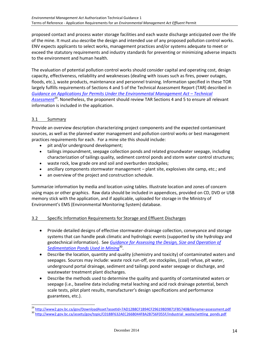proposed contact and process water storage facilities and each waste discharge anticipated over the life of the mine. It must also describe the design and intended use of any proposed pollution control works. ENV expects applicants to select works, management practices and/or systems adequate to meet or exceed the statutory requirements and industry standards for preventing or minimizing adverse impacts to the environment and human health.

The evaluation of potential pollution control works should consider capital and operating cost, design capacity, effectiveness, reliability and weaknesses (dealing with issues such as fires, power outages, floods, etc.), waste products, maintenance and personnel training. Information specified in these TOR largely fulfills requirements of Sections 4 and 5 of the Technical Assessment Report (TAR) described in *[Guidance on Applications for Permits Under the Environmental Management Act](http://www2.gov.bc.ca/gov/DownloadAsset?assetId=7AD12B8CF1B94CF29619BD9871FB5740&filename=assessment.pdf) – Technical* [Assessment](http://www2.gov.bc.ca/gov/DownloadAsset?assetId=7AD12B8CF1B94CF29619BD9871FB5740&filename=assessment.pdf)<sup>29</sup>. Nonetheless, the proponent should review TAR Sections 4 and 5 to ensure all relevant information is included in the application.

## 3.1 Summary

l

Provide an overview description characterizing project components and the expected contaminant sources, as well as the planned water management and pollution control works or best management practices requirements for each. For a mine site this should include:

- pit and/or underground development;
- tailings impoundment, seepage collection ponds and related groundwater seepage, including characterization of tailings quality, sediment control ponds and storm water control structures;
- waste rock, low grade ore and soil and overburden stockpiles;
- ancillary components stormwater management plant site, explosives site camp, etc.; and
- an overview of the project and construction schedule.

Summarize information by media and location using tables. Illustrate location and zones of concern using maps or other graphics. Raw data should be included in appendices, provided on CD, DVD or USB memory stick with the application, and if applicable, uploaded for storage in the Ministry of Environment's EMS (Environmental Monitoring System) database.

## 3.2 Specific Information Requirements for Storage and Effluent Discharges

- Provide detailed designs of effective stormwater-drainage collection, conveyance and storage systems that can handle peak climatic and hydrologic events (supported by site hydrology and geotechnical information). See *[Guidance for Assessing the Design, Size and Operation of](http://www2.gov.bc.ca/assets/gov/topic/C0188F632AEC266B044F8A2B756F055F/industrial_waste/settling_ponds.pdf)  [Sedimentation Ponds Used in Mining](http://www2.gov.bc.ca/assets/gov/topic/C0188F632AEC266B044F8A2B756F055F/industrial_waste/settling_ponds.pdf)*<sup>30</sup> .
- Describe the location, quantity and quality (chemistry and toxicity) of contaminated waters and seepages. Sources may include: waste rock run-off, ore stockpiles, (coal) refuse, pit water, underground portal drainage, sediment and tailings pond water seepage or discharge, and wastewater treatment plant discharges.
- Describe the methods used to determine the quality and quantity of contaminated waters or seepage (i.e., baseline data including metal leaching and acid rock drainage potential, bench scale tests, pilot plant results, manufacturer's design specifications and performance guarantees, etc.).

<sup>29</sup> <http://www2.gov.bc.ca/gov/DownloadAsset?assetId=7AD12B8CF1B94CF29619BD9871FB5740&filename=assessment.pdf>

<sup>&</sup>lt;sup>30</sup> [http://www2.gov.bc.ca/assets/gov/topic/C0188F632AEC266B044F8A2B756F055F/industrial\\_waste/settling\\_ponds.pdf](http://www2.gov.bc.ca/assets/gov/topic/C0188F632AEC266B044F8A2B756F055F/industrial_waste/settling_ponds.pdf)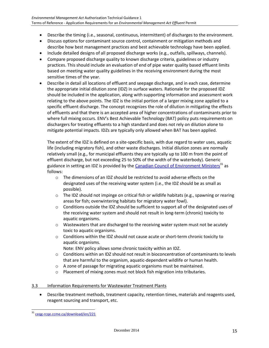- Describe the timing (i.e., seasonal, continuous, intermittent) of discharges to the environment.
- Discuss options for contaminant source control, containment or mitigation methods and describe how best management practices and best achievable technology have been applied.
- Include detailed designs of all proposed discharge works (e.g., outfalls, spillways, channels).
- Compare proposed discharge quality to known discharge criteria, guidelines or industry practices. This should include an evaluation of end of pipe water quality based effluent limits based on meeting water quality guidelines in the receiving environment during the most sensitive times of the year.
- Describe in detail all locations of effluent and seepage discharge, and in each case, determine the appropriate initial dilution zone (IDZ) in surface waters. Rationale for the proposed IDZ should be included in the application, along with supporting information and assessment work relating to the above points. The IDZ is the initial portion of a larger mixing zone applied to a specific effluent discharge. The concept recognizes the role of dilution in mitigating the effects of effluents and that there is an accepted area of higher concentrations of contaminants prior to where full mixing occurs. ENV's Best Achievable Technology (BAT) policy puts requirements on dischargers for treating effluents to a high standard and does not rely on dilution alone to mitigate potential impacts. IDZs are typically only allowed when BAT has been applied.

The extent of the IDZ is defined on a site-specific basis, with due regard to water uses, aquatic life (including migratory fish), and other waste discharges. Initial dilution zones are normally relatively small (e.g., for municipal effluents they are typically up to 100 m from the point of effluent discharge, but not exceeding 25 to 50% of the width of the waterbody). Generic guidance in setting an IDZ is provided by th[e Canadian Council of Environment Ministers](http://ceqg-rcqe.ccme.ca/download/en/221)<sup>31</sup> as follows:

- $\circ$  The dimensions of an IDZ should be restricted to avoid adverse effects on the designated uses of the receiving water system (i.e., the IDZ should be as small as possible).
- $\circ$  The IDZ should not impinge on critical fish or wildlife habitats (e.g., spawning or rearing areas for fish; overwintering habitats for migratory water fowl).
- $\circ$  Conditions outside the IDZ should be sufficient to support all of the designated uses of the receiving water system and should not result in long-term (chronic) toxicity to aquatic organisms.
- $\circ$  Wastewaters that are discharged to the receiving water system must not be acutely toxic to aquatic organisms.
- $\circ$  Conditions within the IDZ should not cause acute or short-term chronic toxicity to aquatic organisms.

Note: ENV policy allows some chronic toxicity within an IDZ.

- $\circ$  Conditions within an IDZ should not result in bioconcentration of contaminants to levels that are harmful to the organism, aquatic-dependent wildlife or human health.
- o A zone of passage for migrating aquatic organisms must be maintained.
- o Placement of mixing zones must not block fish migration into tributaries.

## 3.3 Information Requirements for Wastewater Treatment Plants

 Describe treatment methods, treatment capacity, retention times, materials and reagents used, reagent sourcing and transport, etc.

<sup>&</sup>lt;sup>31</sup> [ceqg-rcqe.ccme.ca/download/en/221](http://ceqg-rcqe.ccme.ca/download/en/221)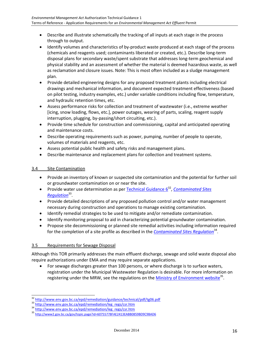- Describe and illustrate schematically the tracking of all inputs at each stage in the process through to output.
- Identify volumes and characteristics of by-product waste produced at each stage of the process (chemicals and reagents used; contaminants liberated or created, etc.). Describe long-term disposal plans for secondary waste/spent substrate that addresses long-term geochemical and physical stability and an assessment of whether the material is deemed hazardous waste, as well as reclamation and closure issues. Note: This is most often included as a sludge management plan.
- Provide detailed engineering designs for any proposed treatment plants including electrical drawings and mechanical information, and document expected treatment effectiveness (based on pilot testing, industry examples, etc.) under variable conditions including flow, temperature, and hydraulic retention times, etc.
- Assess performance risks for collection and treatment of wastewater (i.e., extreme weather [icing, snow loading, flows, etc.], power outages, wearing of parts, scaling, reagent supply interruption, plugging, by-passing/short circuiting, etc.).
- Provide time schedule for construction and commissioning, capital and anticipated operating and maintenance costs.
- Describe operating requirements such as power, pumping, number of people to operate, volumes of materials and reagents, etc.
- Assess potential public health and safety risks and management plans.
- Describe maintenance and replacement plans for collection and treatment systems.

## 3.4 Site Contamination

- Provide an inventory of known or suspected site contamination and the potential for further soil or groundwater contamination on or near the site.
- Provide water use determination as per **Technical Guidance 6<sup>32</sup>, Contaminated Sites** *[Regulation](http://www.env.gov.bc.ca/epd/remediation/leg_regs/csr.htm)*<sup>33</sup> .
- Provide detailed descriptions of any proposed pollution control and/or water management necessary during construction and operations to manage existing contamination.
- Identify remedial strategies to be used to mitigate and/or remediate contamination.
- Identify monitoring proposal to aid in characterizing potential groundwater contamination.
- Propose site decommissioning or planned site remedial activities including information required for the completion of a site profile as described in the *[Contaminated Sites Regulation](http://www.env.gov.bc.ca/epd/remediation/leg_regs/csr.htm)*<sup>34</sup>.

## 3.5 Requirements for Sewage Disposal

l

Although this TOR primarily addresses the main effluent discharge, sewage and solid waste disposal also require authorizations under EMA and may require separate applications.

 For sewage discharges greater than 100 persons, or where discharge is to surface waters, registration under the Municipal Wastewater Regulation is desirable. For more information on registering under the MRW, see the regulations on the **Ministry of Environment website**<sup>35</sup>.

<sup>32</sup> <http://www.env.gov.bc.ca/epd/remediation/guidance/technical/pdf/tg06.pdf>

<sup>33</sup> [http://www.env.gov.bc.ca/epd/remediation/leg\\_regs/csr.htm](http://www.env.gov.bc.ca/epd/remediation/leg_regs/csr.htm)

<sup>34</sup> [http://www.env.gov.bc.ca/epd/remediation/leg\\_regs/csr.htm](http://www.env.gov.bc.ca/epd/remediation/leg_regs/csr.htm)

<sup>35</sup> <http://www2.gov.bc.ca/gov/topic.page?id=60755778FAE2413EABB0859BD9C9BAD6>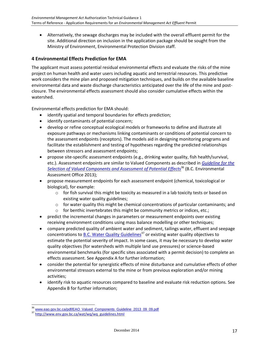Alternatively, the sewage discharges may be included with the overall effluent permit for the site. Additional direction on inclusion in the application package should be sought from the Ministry of Environment, Environmental Protection Division staff.

## **4 Environmental Effects Prediction for EMA**

The applicant must assess potential residual environmental effects and evaluate the risks of the mine project on human health and water users including aquatic and terrestrial resources. This predictive work considers the mine plan and proposed mitigation techniques, and builds on the available baseline environmental data and waste discharge characteristics anticipated over the life of the mine and postclosure. The environmental effects assessment should also consider cumulative effects within the watershed.

Environmental effects prediction for EMA should:

- identify spatial and temporal boundaries for effects prediction;
- identify contaminants of potential concern;
- develop or refine conceptual ecological models or frameworks to define and illustrate all exposure pathways or mechanisms linking contaminants or conditions of potential concern to the assessment endpoints (receptors). The models aid in designing monitoring programs and facilitate the establishment and testing of hypotheses regarding the predicted relationships between stressors and assessment endpoints;
- propose site-specific assessment endpoints (e.g., drinking water quality, fish health/survival, etc.). Assessment endpoints are similar to Valued Components as described in *[Guideline for the](http://www.eao.gov.bc.ca/pdf/EAO_Valued_Components_Guideline_2013_09_09.pdf)  [Selection of Valued Components and Assessment of Potential Effects](http://www.eao.gov.bc.ca/pdf/EAO_Valued_Components_Guideline_2013_09_09.pdf)*<sup>36</sup> (B.C. Environmental Assessment Office 2013);
- propose measurement endpoints for each assessment endpoint (chemical, toxicological or biological), for example:
	- $\circ$  for fish survival this might be toxicity as measured in a lab toxicity tests or based on existing water quality guidelines;
	- $\circ$  for water quality this might be chemical concentrations of particular contaminants; and
	- o for benthic invertebrates this might be community metrics or indices, etc.;
- predict the incremental changes in parameters or measurement endpoints over existing receiving environment conditions using mass balance modelling or other techniques;
- compare predicted quality of ambient water and sediment, tailings water, effluent and seepage concentrations to B.C. [Water Quality Guidelines](http://www.env.gov.bc.ca/wat/wq/wq_guidelines.html)<sup>37</sup> or existing water quality objectives to estimate the potential severity of impact. In some cases, it may be necessary to develop water quality objectives (for watersheds with multiple land use pressures) or science-based environmental benchmarks (for specific sites associated with a permit decision) to complete an effects assessment. See Appendix A for further information;
- consider the potential for synergistic effects of mine disturbance and cumulative effects of other environmental stressors external to the mine or from previous exploration and/or mining activities;
- identify risk to aquatic resources compared to baseline and evaluate risk reduction options. See Appendix B for further information;

<sup>36</sup> [www.eao.gov.bc.ca/pdf/EAO\\_Valued\\_Components\\_Guideline\\_2013\\_09\\_09.pdf](http://www.eao.gov.bc.ca/pdf/EAO_Valued_Components_Guideline_2013_09_09.pdf)

<sup>37</sup> [http://www.env.gov.bc.ca/wat/wq/wq\\_guidelines.html](http://www.env.gov.bc.ca/wat/wq/wq_guidelines.html)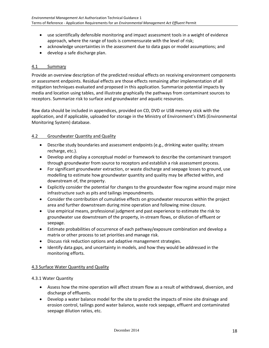- use scientifically defensible monitoring and impact assessment tools in a weight of evidence approach, where the range of tools is commensurate with the level of risk;
- acknowledge uncertainties in the assessment due to data gaps or model assumptions; and
- develop a safe discharge plan.

#### 4.1 Summary

Provide an overview description of the predicted residual effects on receiving environment components or assessment endpoints. Residual effects are those effects remaining after implementation of all mitigation techniques evaluated and proposed in this application. Summarize potential impacts by media and location using tables, and illustrate graphically the pathways from contaminant sources to receptors. Summarize risk to surface and groundwater and aquatic resources.

Raw data should be included in appendices, provided on CD, DVD or USB memory stick with the application, and if applicable, uploaded for storage in the Ministry of Environment's EMS (Environmental Monitoring System) database.

#### 4.2 Groundwater Quantity and Quality

- Describe study boundaries and assessment endpoints (e.g., drinking water quality; stream recharge, etc.).
- Develop and display a conceptual model or framework to describe the contaminant transport through groundwater from source to receptors and establish a risk assessment process.
- For significant groundwater extraction, or waste discharge and seepage losses to ground, use modelling to estimate how groundwater quantity and quality may be affected within, and downstream of, the property.
- Explicitly consider the potential for changes to the groundwater flow regime around major mine infrastructure such as pits and tailings impoundments.
- Consider the contribution of cumulative effects on groundwater resources within the project area and further downstream during mine operation and following mine closure.
- Use empirical means, professional judgment and past experience to estimate the risk to groundwater use downstream of the property, in-stream flows, or dilution of effluent or seepage.
- Estimate probabilities of occurrence of each pathway/exposure combination and develop a matrix or other process to set priorities and manage risk.
- Discuss risk reduction options and adaptive management strategies.
- Identify data gaps, and uncertainty in models, and how they would be addressed in the monitoring efforts.

#### 4.3 Surface Water Quantity and Quality

#### 4.3.1 Water Quantity

- Assess how the mine operation will affect stream flow as a result of withdrawal, diversion, and discharge of effluents.
- Develop a water balance model for the site to predict the impacts of mine site drainage and erosion control, tailings pond water balance, waste rock seepage, effluent and contaminated seepage dilution ratios, etc.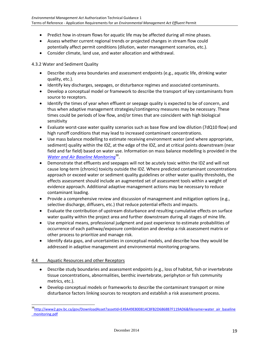- Predict how in-stream flows for aquatic life may be affected during all mine phases.
- Assess whether current regional trends or projected changes in stream flow could potentially affect permit conditions (dilution, water management scenarios, etc.).
- Consider climate, land use, and water allocation and withdrawal.

4.3.2 Water and Sediment Quality

- Describe study area boundaries and assessment endpoints (e.g., aquatic life, drinking water quality, etc.).
- Identify key discharges, seepages, or disturbance regimes and associated contaminants.
- Develop a conceptual model or framework to describe the transport of key contaminants from source to receptors.
- Identify the times of year when effluent or seepage quality is expected to be of concern, and thus when adaptive management strategies/contingency measures may be necessary. These times could be periods of low flow, and/or times that are coincident with high biological sensitivity
- Evaluate worst-case water quality scenarios such as base flow and low dilution (7dQ10 flow) and high runoff conditions that may lead to increased contaminant concentrations.
- Use mass balance modelling to estimate receiving environment water (and where appropriate, sediment) quality within the IDZ, at the edge of the IDZ, and at critical points downstream (near field and far field) based on water use. Information on mass balance modelling is provided in the *[Water and Air Baseline Monitoring](http://www2.gov.bc.ca/gov/DownloadAsset?assetId=E49A49E800814C8FB2D6868B7F119AD6&filename=water_air_baseline_monitoring.pdf)*<sup>38</sup> .
- Demonstrate that effluents and seepages will not be acutely toxic within the IDZ and will not cause long-term (chronic) toxicity outside the IDZ. Where predicted contaminant concentrations approach or exceed water or sediment quality guidelines or other water quality thresholds, the effects assessment should include an augmented set of assessment tools within a weight of evidence approach. Additional adaptive management actions may be necessary to reduce contaminant loading.
- Provide a comprehensive review and discussion of management and mitigation options (e.g., selective discharge, diffusers, etc.) that reduce potential effects and impacts.
- Evaluate the contribution of upstream disturbance and resulting cumulative effects on surface water quality within the project area and further downstream during all stages of mine life.
- Use empirical means, professional judgment and past experience to estimate probabilities of occurrence of each pathway/exposure combination and develop a risk assessment matrix or other process to prioritize and manage risk.
- Identify data gaps, and uncertainties in conceptual models, and describe how they would be addressed in adaptive management and environmental monitoring programs.

#### 4.4 Aquatic Resources and other Receptors

- Describe study boundaries and assessment endpoints (e.g., loss of habitat, fish or invertebrate tissue concentrations, abnormalities, benthic invertebrate, periphyton or fish community metrics, etc.).
- Develop conceptual models or frameworks to describe the contaminant transport or mine disturbance factors linking sources to receptors and establish a risk assessment process.

<sup>38</sup>[http://www2.gov.bc.ca/gov/DownloadAsset?assetId=E49A49E800814C8FB2D6868B7F119AD6&filename=water\\_air\\_baseline](http://www2.gov.bc.ca/gov/DownloadAsset?assetId=E49A49E800814C8FB2D6868B7F119AD6&filename=water_air_baseline_monitoring.pdf) [\\_monitoring.pdf](http://www2.gov.bc.ca/gov/DownloadAsset?assetId=E49A49E800814C8FB2D6868B7F119AD6&filename=water_air_baseline_monitoring.pdf)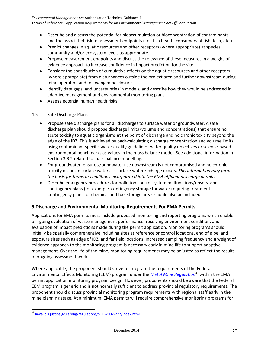- Describe and discuss the potential for bioaccumulation or bioconcentration of contaminants, and the associated risk to assessment endpoints (i.e., fish health, consumers of fish flesh, etc.).
- Predict changes in aquatic resources and other receptors (where appropriate) at species, community and/or ecosystem levels as appropriate.
- Propose measurement endpoints and discuss the relevance of these measures in a weight-ofevidence approach to increase confidence in impact prediction for the site.
- Consider the contribution of cumulative effects on the aquatic resources and other receptors (where appropriate) from disturbances outside the project area and further downstream during mine operation and following mine closure.
- Identify data gaps, and uncertainties in models, and describe how they would be addressed in adaptive management and environmental monitoring plans.
- Assess potential human health risks.

## 4.5 Safe Discharge Plans

- Propose safe discharge plans for all discharges to surface water or groundwater. A safe discharge plan should propose discharge limits (volume and concentrations) that ensure no acute toxicity to aquatic organisms at the point of discharge and no chronic toxicity beyond the edge of the IDZ. This is achieved by back-calculating discharge concentration and volume limits using contaminant specific water quality guidelines, water quality objectives or science-based environmental benchmarks as values in the mass balance model. See additional information in Section 3.3.2 related to mass balance modelling.
- For groundwater, ensure groundwater use downstream is not compromised and no chronic toxicity occurs in surface waters as surface water recharge occurs. *This information may form the basis for terms or conditions incorporated into the EMA effluent discharge permit*.
- Describe emergency procedures for pollution control system malfunctions/upsets, and contingency plans (for example, contingency storage for water requiring treatment). Contingency plans for chemical and fuel storage areas should also be included.

## **5 Discharge and Environmental Monitoring Requirements For EMA Permits**

Applications for EMA permits must include proposed monitoring and reporting programs which enable on- going evaluation of waste management performance, receiving environment condition, and evaluation of impact predictions made during the permit application. Monitoring programs should initially be spatially comprehensive including sites at reference or control locations, end of pipe, and exposure sites such as edge of IDZ, and far field locations. Increased sampling frequency and a weight of evidence approach to the monitoring program is necessary early in mine life to support adaptive management. Over the life of the mine, monitoring requirements may be adjusted to reflect the results of ongoing assessment work.

Where applicable, the proponent should strive to integrate the requirements of the Federal Environmental Effects Monitoring (EEM) program under the *[Metal Mine Regulation](http://laws-lois.justice.gc.ca/eng/regulations/SOR-2002-222/index.html)*<sup>39</sup> within the EMA permit application monitoring program design. However, proponents should be aware that the Federal EEM program is generic and is not normally sufficient to address provincial regulatory requirements. The proponent should discuss provincial monitoring program requirements with regional staff early in the mine planning stage. At a minimum, EMA permits will require comprehensive monitoring programs for

<sup>39</sup> [laws-lois.justice.gc.ca/eng/regulations/SOR-2002-222/index.html](http://laws-lois.justice.gc.ca/eng/regulations/SOR-2002-222/index.html)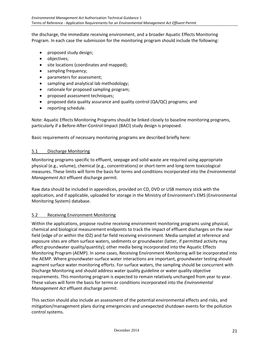the discharge, the immediate receiving environment, and a broader Aquatic Effects Monitoring Program. In each case the submission for the monitoring program should include the following:

- proposed study design;
- objectives;
- site locations (coordinates and mapped);
- sampling frequency;
- parameters for assessment;
- sampling and analytical lab methodology;
- rationale for proposed sampling program;
- proposed assessment techniques;
- proposed data quality assurance and quality control (QA/QC) programs; and
- reporting schedule.

Note: Aquatic Effects Monitoring Programs should be linked closely to baseline monitoring programs, particularly if a Before-After-Control-Impact (BACI) study design is proposed.

Basic requirements of necessary monitoring programs are described briefly here:

## 5.1 Discharge Monitoring

Monitoring programs specific to effluent, seepage and solid waste are required using appropriate physical (e.g., volume), chemical (e.g., concentrations) or short-term and long-term toxicological measures. These limits will form the basis for terms and conditions incorporated into the *Environmental Management Act* effluent discharge permit.

Raw data should be included in appendices, provided on CD, DVD or USB memory stick with the application, and if applicable, uploaded for storage in the Ministry of Environment's EMS (Environmental Monitoring System) database.

## 5.2 Receiving Environment Monitoring

Within the applications, propose routine receiving environment monitoring programs using physical, chemical and biological measurement endpoints to track the impact of effluent discharges on the near field (edge of or within the IDZ) and far field receiving environment. Media sampled at reference and exposure sites are often surface waters, sediments or groundwater (latter, if permitted activity may affect groundwater quality/quantity); other media being incorporated into the Aquatic Effects Monitoring Program (AEMP). In some cases, Receiving Environment Monitoring will be incorporated into the AEMP. Where groundwater-surface water interactions are important, groundwater testing should augment surface water monitoring efforts. For surface waters, the sampling should be concurrent with Discharge Monitoring and should address water quality guideline or water quality objective requirements. This monitoring program is expected to remain relatively unchanged from year to year. These values will form the basis for terms or conditions incorporated into the *Environmental Management Act* effluent discharge permit.

This section should also include an assessment of the potential environmental effects and risks, and mitigation/management plans during emergencies and unexpected shutdown events for the pollution control systems.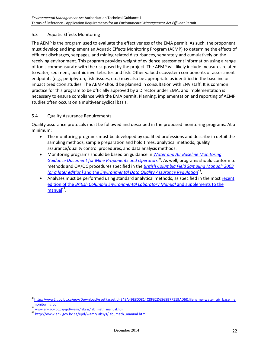## 5.3 Aquatic Effects Monitoring

The AEMP is the program used to evaluate the effectiveness of the EMA permit. As such, the proponent must develop and implement an Aquatic Effects Monitoring Program (AEMP) to determine the effects of effluent discharges, seepages, and mining related disturbances, separately and cumulatively on the receiving environment. This program provides weight of evidence assessment information using a range of tools commensurate with the risk posed by the project. The AEMP will likely include measures related to water, sediment, benthic invertebrates and fish. Other valued ecosystem components or assessment endpoints (e.g., periphyton, fish tissues, etc.) may also be appropriate as identified in the baseline or impact prediction studies. The AEMP should be planned in consultation with ENV staff. It is common practice for this program to be officially approved by a Director under EMA, and implementation is necessary to ensure compliance with the EMA permit. Planning, implementation and reporting of AEMP studies often occurs on a multiyear cyclical basis.

## 5.4 Quality Assurance Requirements

Quality assurance protocols must be followed and described in the proposed monitoring programs. At a minimum:

- The monitoring programs must be developed by qualified professions and describe in detail the sampling methods, sample preparation and hold times, analytical methods, quality assurance/quality control procedures, and data analysis methods.
- Monitoring programs should be based on guidance in *[Water and Air Baseline Monitoring](http://www2.gov.bc.ca/gov/DownloadAsset?assetId=E49A49E800814C8FB2D6868B7F119AD6&filename=water_air_baseline_monitoring.pdf)*  [Guidance Document for Mine Proponents and Operators](http://www2.gov.bc.ca/gov/DownloadAsset?assetId=E49A49E800814C8FB2D6868B7F119AD6&filename=water_air_baseline_monitoring.pdf)<sup>40</sup>. As well, programs should conform to methods and QA/QC procedures specified in the *[British Columbia Field Sampling Manual: 2003](http://www.env.gov.bc.ca/epd/wamr/labsys/lab_meth_manual.html)*  (or a later edition) and the *[Environmental Data Quality Assurance Regulation](http://www.env.gov.bc.ca/epd/wamr/labsys/lab_meth_manual.html)*<sup>41</sup>.
- Analyses must be performed using standard analytical methods, as specified in the most recent edition of the *[British Columbia Environmental Laboratory Manual](http://www.env.gov.bc.ca/epd/wamr/labsys/lab_meth_manual.html)* and supplements to the [manual](http://www.env.gov.bc.ca/epd/wamr/labsys/lab_meth_manual.html)<sup>42</sup>.

<sup>&</sup>lt;sup>40</sup>[http://www2.gov.bc.ca/gov/DownloadAsset?assetId=E49A49E800814C8FB2D6868B7F119AD6&filename=water\\_air\\_baseline](http://www2.gov.bc.ca/gov/DownloadAsset?assetId=E49A49E800814C8FB2D6868B7F119AD6&filename=water_air_baseline_monitoring.pdf) [\\_monitoring.pdf](http://www2.gov.bc.ca/gov/DownloadAsset?assetId=E49A49E800814C8FB2D6868B7F119AD6&filename=water_air_baseline_monitoring.pdf)

<sup>41</sup> [www.env.gov.bc.ca/epd/wamr/labsys/lab\\_meth\\_manual.html](http://www.env.gov.bc.ca/epd/wamr/labsys/lab_meth_manual.html)

<sup>&</sup>lt;sup>42</sup> [http://www.env.gov.bc.ca/epd/wamr/labsys/lab\\_meth\\_manual.html](http://www.env.gov.bc.ca/epd/wamr/labsys/lab_meth_manual.html)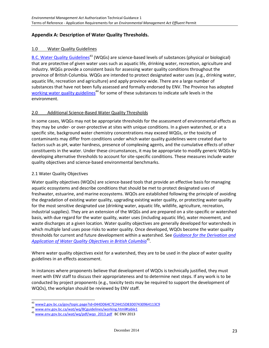## **Appendix A: Description of Water Quality Thresholds.**

#### 1.0 Water Quality Guidelines

[B.C. Water Quality Guidelines](http://www2.gov.bc.ca/gov/topic.page?id=044DD64C7E24415D83D07430964113C9)<sup>43</sup> (WQGs) are science-based levels of substances (physical or biological) that are protective of given water uses such as aquatic life, drinking water, recreation, agriculture and industry. WQGs provide a consistent basis for assessing water quality conditions throughout the province of British Columbia. WQGs are intended to protect designated water uses (e.g., drinking water, aquatic life, recreation and agriculture) and apply province wide. There are a large number of substances that have not been fully assessed and formally endorsed by ENV. The Province has adopted [working water quality guidelines](http://www.env.gov.bc.ca/wat/wq/BCguidelines/working.html#table1)<sup>44</sup> for some of these substances to indicate safe levels in the environment.

## 2.0 Additional Science-Based Water Quality Thresholds

In some cases, WQGs may not be appropriate thresholds for the assessment of environmental effects as they may be under- or over-protective at sites with unique conditions. In a given watershed, or at a specific site, background water chemistry concentrations may exceed WQGs, or the toxicity of contaminants may differ from conditions under which water quality guidelines were created due to factors such as pH, water hardness, presence of complexing agents, and the cumulative effects of other constituents in the water. Under these circumstances, it may be appropriate to modify generic WQGs by developing alternative thresholds to account for site-specific conditions. These measures include water quality objectives and science-based environmental benchmarks.

#### 2.1 Water Quality Objectives

Water quality objectives (WQOs) are science-based tools that provide an effective basis for managing aquatic ecosystems and describe conditions that should be met to protect designated uses of freshwater, estuarine, and marine ecosystems. WQOs are established following the principle of avoiding the degradation of existing water quality, upgrading existing water quality, or protecting water quality for the most sensitive designated use (drinking water, aquatic life, wildlife, agriculture, recreation, industrial supplies). They are an extension of the WQGs and are prepared on a site-specific or watershed basis, with due regard for the water quality, water uses (including aquatic life), water movement, and waste discharges at a given location. Water quality objectives are generally developed for watersheds in which multiple land uses pose risks to water quality. Once developed, WQOs become the water quality thresholds for current and future development within a watershed. See *Guidance for [the Derivation and](http://www.env.gov.bc.ca/wat/wq/pdf/wqo_2013.pdf)  [Application of Water Quality Objectives in British Columbia](http://www.env.gov.bc.ca/wat/wq/pdf/wqo_2013.pdf)*<sup>45</sup> *.*

Where water quality objectives exist for a watershed, they are to be used in the place of water quality guidelines in an effects assessment.

In instances where proponents believe that development of WQOs is technically justified, they must meet with ENV staff to discuss their appropriateness and to determine next steps. If any work is to be conducted by project proponents (e.g., toxicity tests may be required to support the development of WQOs), the workplan should be reviewed by ENV staff.

l <sup>43</sup> [www2.gov.bc.ca/gov/topic.page?id=044DD64C7E24415D83D07430964113C9](http://www2.gov.bc.ca/gov/topic.page?id=044DD64C7E24415D83D07430964113C9)

<sup>44</sup> [www.env.gov.bc.ca/wat/wq/BCguidelines/working.html#table1](http://www.env.gov.bc.ca/wat/wq/BCguidelines/working.html)

<sup>45</sup> [www.env.gov.bc.ca/wat/wq/pdf/wqo\\_2013.pdf](http://www.env.gov.bc.ca/wat/wq/pdf/wqo_2013.pdf) BC ENV 2013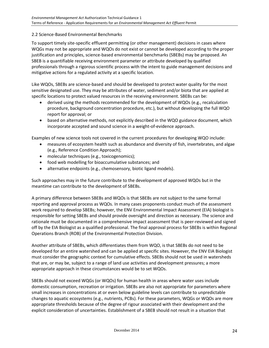## 2.2 Science-Based Environmental Benchmarks

To support timely site-specific effluent permitting (or other management) decisions in cases where WQGs may not be appropriate and WQOs do not exist or cannot be developed according to the proper justification and principles, science-based environmental benchmarks (SBEBs) may be proposed. An SBEB is a quantifiable receiving environment parameter or attribute developed by qualified professionals through a rigorous scientific process with the intent to guide management decisions and mitigative actions for a regulated activity at a specific location.

Like WQOs, SBEBs are science-based and should be developed to protect water quality for the most sensitive designated use. They may be attributes of water, sediment and/or biota that are applied at specific locations to protect valued resources in the receiving environment. SBEBs can be:

- derived using the methods recommended for the development of WQOs (e.g., recalculation procedure, background concentration procedure, etc.), but without developing the full WQO report for approval; or
- based on alternative methods, not explicitly described in the WQO guidance document, which incorporate accepted and sound science in a weight-of-evidence approach.

Examples of new science tools not covered in the current procedures for developing WQO include:

- measures of ecosystem health such as abundance and diversity of fish, invertebrates, and algae (e.g., Reference Condition Approach);
- molecular techniques (e.g., toxicogenomics);
- food web modelling for bioaccumulative substances; and
- alternative endpoints (e.g., chemosensory, biotic ligand models).

Such approaches may in the future contribute to the development of approved WQOs but in the meantime can contribute to the development of SBEBs.

A primary difference between SBEBs and WQOs is that SBEBs are not subject to the same formal reporting and approval process as WQOs. In many cases proponents conduct much of the assessment work required to develop SBEBs; however, the ENV Environmental Impact Assessment (EIA) biologist is responsible for setting SBEBs and should provide oversight and direction as necessary. The science and rationale must be documented in a comprehensive impact assessment that is peer-reviewed and signed off by the EIA Biologist as a qualified professional. The final approval process for SBEBs is within Regional Operations Branch (ROB) of the Environmental Protection Division.

Another attribute of SBEBs, which differentiates them from WQO, is that SBEBs do not need to be developed for an entire watershed and can be applied at specific sites. However, the ENV EIA Biologist must consider the geographic context for cumulative effects. SBEBs should not be used in watersheds that are, or may be, subject to a range of land use activities and development pressures; a more appropriate approach in these circumstances would be to set WQOs.

SBEBs should not exceed WQGs (or WQOs) for human health in areas where water uses include domestic consumption, recreation or irrigation. SBEBs are also not appropriate for parameters where small increases in concentrations at or even below guideline levels can contribute to unpredictable changes to aquatic ecosystems (e.g., nutrients, PCBs). For these parameters, WQGs or WQOs are more appropriate thresholds because of the degree of rigour associated with their development and the explicit consideration of uncertainties. Establishment of a SBEB should not result in a situation that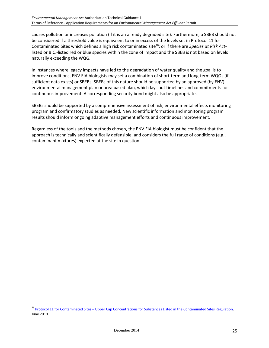causes pollution or increases pollution (if it is an already degraded site). Furthermore, a SBEB should not be considered if a threshold value is equivalent to or in excess of the levels set in Protocol 11 for Contaminated Sites which defines a high risk contaminated site<sup>46</sup>; or if there are *Species at Risk Act*listed or B.C.-listed red or blue species within the zone of impact and the SBEB is not based on levels naturally exceeding the WQG.

In instances where legacy impacts have led to the degradation of water quality and the goal is to improve conditions, ENV EIA biologists may set a combination of short-term and long-term WQOs (if sufficient data exists) or SBEBs. SBEBs of this nature should be supported by an approved (by ENV) environmental management plan or area based plan, which lays out timelines and commitments for continuous improvement. A corresponding security bond might also be appropriate.

SBEBs should be supported by a comprehensive assessment of risk, environmental effects monitoring program and confirmatory studies as needed. New scientific information and monitoring program results should inform ongoing adaptive management efforts and continuous improvement.

Regardless of the tools and the methods chosen, the ENV EIA biologist must be confident that the approach is technically and scientifically defensible, and considers the full range of conditions (e.g., contaminant mixtures) expected at the site in question.

<sup>&</sup>lt;sup>46</sup> Protocol 11 for Contaminated Sites – Upper Cap Concentrations for Substances Listed in the Contaminated Sites Regulation. June 2010.